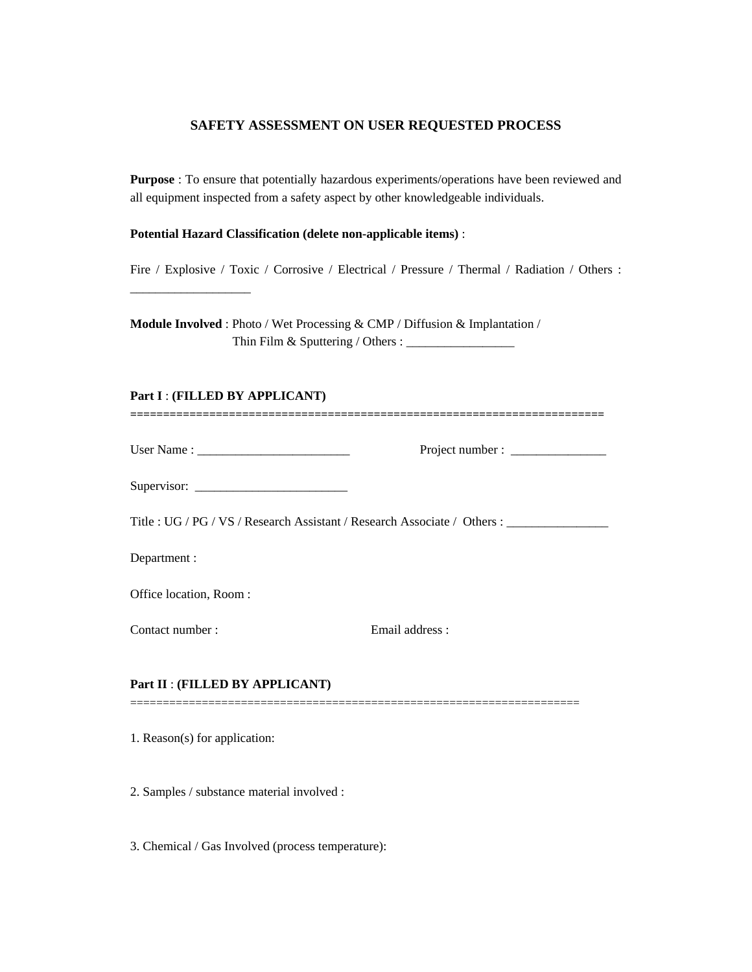## **SAFETY ASSESSMENT ON USER REQUESTED PROCESS**

**Purpose** : To ensure that potentially hazardous experiments/operations have been reviewed and all equipment inspected from a safety aspect by other knowledgeable individuals.

## **Potential Hazard Classification (delete non-applicable items)** :

\_\_\_\_\_\_\_\_\_\_\_\_\_\_\_\_\_\_\_

Fire / Explosive / Toxic / Corrosive / Electrical / Pressure / Thermal / Radiation / Others :

**Module Involved** : Photo / Wet Processing & CMP / Diffusion & Implantation / Thin Film & Sputtering / Others : \_\_\_\_\_\_\_\_\_\_\_\_\_\_\_\_\_

| Part I: (FILLED BY APPLICANT)   |                                                                                                      |  |
|---------------------------------|------------------------------------------------------------------------------------------------------|--|
|                                 |                                                                                                      |  |
|                                 |                                                                                                      |  |
|                                 | Title: UG / PG / VS / Research Assistant / Research Associate / Others : ___________________________ |  |
| Department :                    |                                                                                                      |  |
| Office location, Room:          |                                                                                                      |  |
| Contact number:                 | Email address:                                                                                       |  |
| Part II : (FILLED BY APPLICANT) |                                                                                                      |  |
| 1. Reason(s) for application:   |                                                                                                      |  |

2. Samples / substance material involved :

3. Chemical / Gas Involved (process temperature):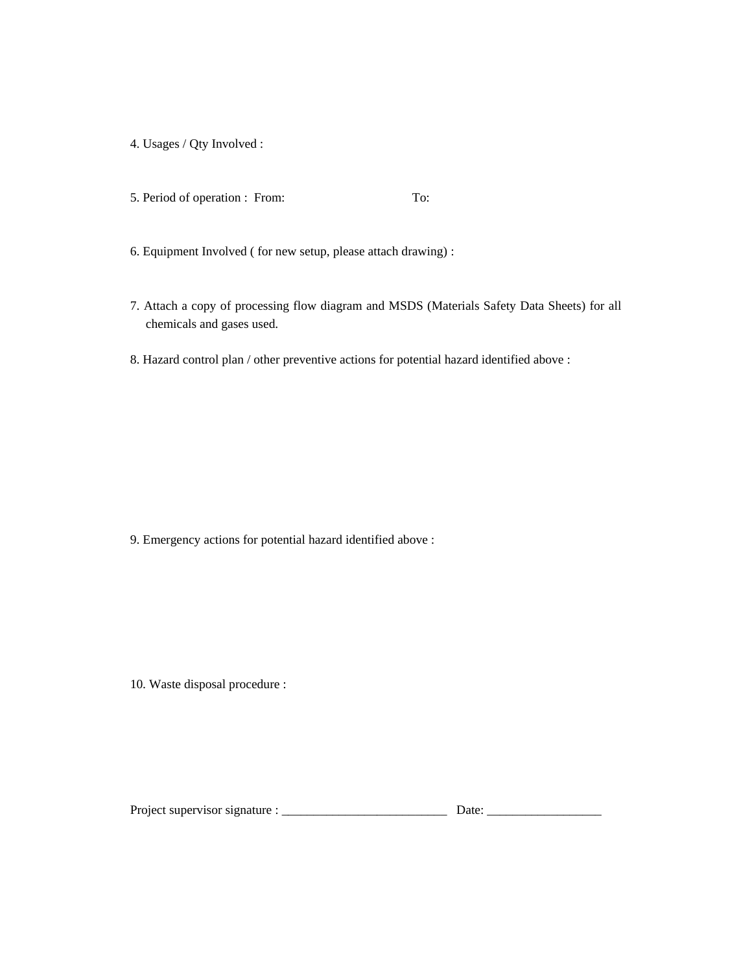- 4. Usages / Qty Involved :
- 5. Period of operation : From: To:
- 6. Equipment Involved ( for new setup, please attach drawing) :
- 7. Attach a copy of processing flow diagram and MSDS (Materials Safety Data Sheets) for all chemicals and gases used.
- 8. Hazard control plan / other preventive actions for potential hazard identified above :

9. Emergency actions for potential hazard identified above :

10. Waste disposal procedure :

| Project supervisor signature : |  |  |
|--------------------------------|--|--|
|--------------------------------|--|--|